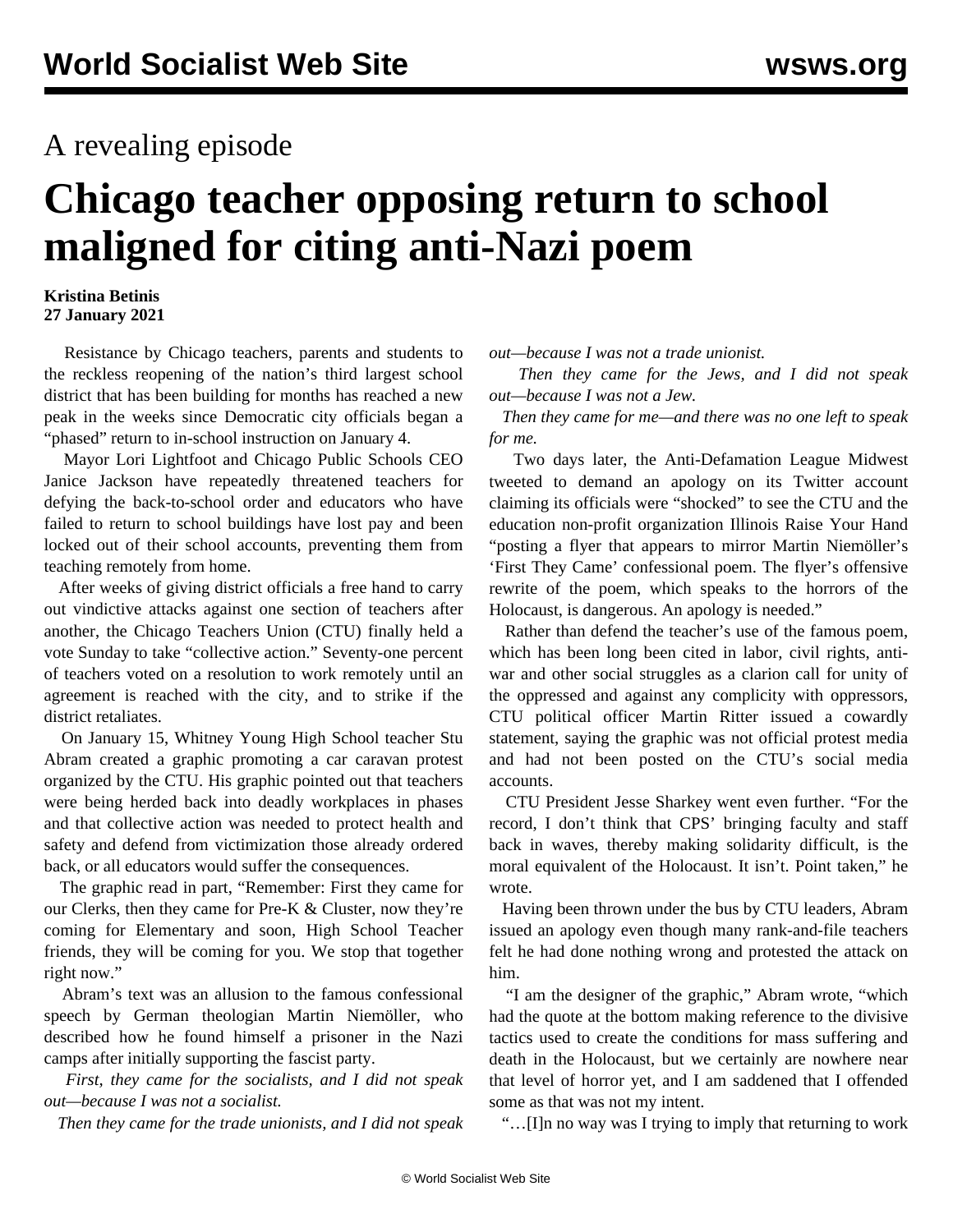## A revealing episode

## **Chicago teacher opposing return to school maligned for citing anti-Nazi poem**

## **Kristina Betinis 27 January 2021**

 Resistance by Chicago teachers, parents and students to the reckless reopening of the nation's third largest school district that has been building for months has reached a new peak in the weeks since Democratic city officials began a "phased" return to in-school instruction on January 4.

 Mayor Lori Lightfoot and Chicago Public Schools CEO Janice Jackson have repeatedly threatened teachers for defying the back-to-school order and educators who have failed to return to school buildings have lost pay and been locked out of their school accounts, preventing them from teaching remotely from home.

 After weeks of giving district officials a free hand to carry out vindictive attacks against one section of teachers after another, the Chicago Teachers Union (CTU) finally held a vote Sunday to take "collective action." Seventy-one percent of teachers voted on a resolution to work remotely until an agreement is reached with the city, and to strike if the district retaliates.

 On January 15, Whitney Young High School teacher Stu Abram created a graphic promoting a car caravan protest organized by the CTU. His graphic pointed out that teachers were being herded back into deadly workplaces in phases and that collective action was needed to protect health and safety and defend from victimization those already ordered back, or all educators would suffer the consequences.

 The graphic read in part, "Remember: First they came for our Clerks, then they came for Pre-K & Cluster, now they're coming for Elementary and soon, High School Teacher friends, they will be coming for you. We stop that together right now."

 Abram's text was an allusion to the famous confessional speech by German theologian Martin Niemöller, who described how he found himself a prisoner in the Nazi camps after initially supporting the fascist party.

 *First, they came for the socialists, and I did not speak out—because I was not a socialist.*

*Then they came for the trade unionists, and I did not speak*

*out—because I was not a trade unionist.*

 *Then they came for the Jews, and I did not speak out—because I was not a Jew.*

 *Then they came for me—and there was no one left to speak for me.*

 Two days later, the Anti-Defamation League Midwest tweeted to [demand an apology](https://twitter.com/ADLMidwest/status/1351012629171613697?s=20) on its Twitter account claiming its officials were "shocked" to see the CTU and the education non-profit organization Illinois Raise Your Hand "posting a flyer that appears to mirror Martin Niemöller's 'First They Came' confessional poem. The flyer's offensive rewrite of the poem, which speaks to the horrors of the Holocaust, is dangerous. An apology is needed."

 Rather than defend the teacher's use of the famous poem, which has been long been cited in labor, civil rights, antiwar and other social struggles as a clarion call for unity of the oppressed and against any complicity with oppressors, CTU political officer Martin Ritter issued a cowardly statement, saying the graphic was not official protest media and had not been posted on the CTU's social media accounts.

 CTU President Jesse Sharkey went even further. "For the record, I don't think that CPS' bringing faculty and staff back in waves, thereby making solidarity difficult, is the moral equivalent of the Holocaust. It isn't. Point taken," he wrote.

 Having been thrown under the bus by CTU leaders, Abram issued an apology even though many rank-and-file teachers felt he had done nothing wrong and protested the attack on him.

 "I am the designer of the graphic," Abram wrote, "which had the quote at the bottom making reference to the divisive tactics used to create the conditions for mass suffering and death in the Holocaust, but we certainly are nowhere near that level of horror yet, and I am saddened that I offended some as that was not my intent.

"…[I]n no way was I trying to imply that returning to work